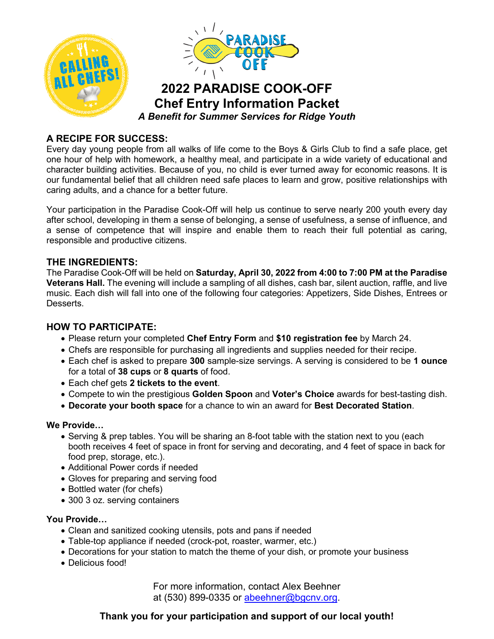

## **A RECIPE FOR SUCCESS:**

Every day young people from all walks of life come to the Boys & Girls Club to find a safe place, get one hour of help with homework, a healthy meal, and participate in a wide variety of educational and character building activities. Because of you, no child is ever turned away for economic reasons. It is our fundamental belief that all children need safe places to learn and grow, positive relationships with caring adults, and a chance for a better future.

Your participation in the Paradise Cook-Off will help us continue to serve nearly 200 youth every day after school, developing in them a sense of belonging, a sense of usefulness, a sense of influence, and a sense of competence that will inspire and enable them to reach their full potential as caring, responsible and productive citizens.

#### **THE INGREDIENTS:**

The Paradise Cook-Off will be held on **Saturday, April 30, 2022 from 4:00 to 7:00 PM at the Paradise Veterans Hall.** The evening will include a sampling of all dishes, cash bar, silent auction, raffle, and live music. Each dish will fall into one of the following four categories: Appetizers, Side Dishes, Entrees or **Desserts** 

### **HOW TO PARTICIPATE:**

- Please return your completed **Chef Entry Form** and **\$10 registration fee** by March 24.
- Chefs are responsible for purchasing all ingredients and supplies needed for their recipe.
- Each chef is asked to prepare **300** sample-size servings. A serving is considered to be **1 ounce** for a total of **38 cups** or **8 quarts** of food.
- Each chef gets **2 tickets to the event**.
- Compete to win the prestigious **Golden Spoon** and **Voter's Choice** awards for best-tasting dish.
- **Decorate your booth space** for a chance to win an award for **Best Decorated Station**.

#### **We Provide…**

- Serving & prep tables. You will be sharing an 8-foot table with the station next to you (each booth receives 4 feet of space in front for serving and decorating, and 4 feet of space in back for food prep, storage, etc.).
- Additional Power cords if needed
- Gloves for preparing and serving food
- Bottled water (for chefs)
- 300 3 oz. serving containers

#### **You Provide…**

- Clean and sanitized cooking utensils, pots and pans if needed
- Table-top appliance if needed (crock-pot, roaster, warmer, etc.)
- Decorations for your station to match the theme of your dish, or promote your business
- Delicious food!

For more information, contact Alex Beehner at (530) 899-0335 or [abeehner@bgcnv.org.](mailto:abeehner@bgcnv.org)

# **Thank you for your participation and support of our local youth!**